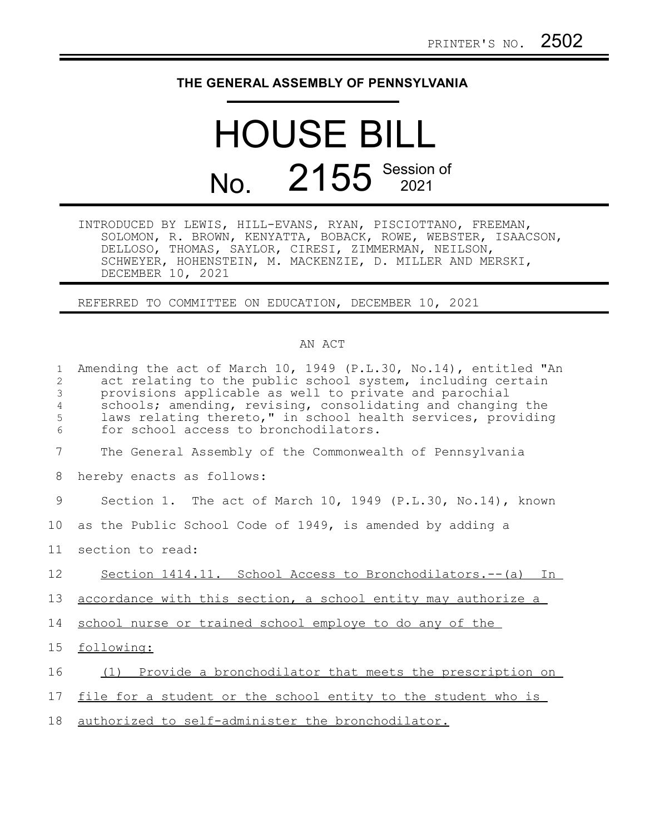## **THE GENERAL ASSEMBLY OF PENNSYLVANIA**

## HOUSE BILL No. 2155 Session of

INTRODUCED BY LEWIS, HILL-EVANS, RYAN, PISCIOTTANO, FREEMAN, SOLOMON, R. BROWN, KENYATTA, BOBACK, ROWE, WEBSTER, ISAACSON, DELLOSO, THOMAS, SAYLOR, CIRESI, ZIMMERMAN, NEILSON, SCHWEYER, HOHENSTEIN, M. MACKENZIE, D. MILLER AND MERSKI, DECEMBER 10, 2021

REFERRED TO COMMITTEE ON EDUCATION, DECEMBER 10, 2021

## AN ACT

| $\mathbf{1}$<br>2<br>3<br>$\sqrt{4}$<br>5<br>6 | Amending the act of March 10, 1949 (P.L.30, No.14), entitled "An<br>act relating to the public school system, including certain<br>provisions applicable as well to private and parochial<br>schools; amending, revising, consolidating and changing the<br>laws relating thereto," in school health services, providing<br>for school access to bronchodilators. |
|------------------------------------------------|-------------------------------------------------------------------------------------------------------------------------------------------------------------------------------------------------------------------------------------------------------------------------------------------------------------------------------------------------------------------|
| 7                                              | The General Assembly of the Commonwealth of Pennsylvania                                                                                                                                                                                                                                                                                                          |
| 8                                              | hereby enacts as follows:                                                                                                                                                                                                                                                                                                                                         |
| 9                                              | Section 1. The act of March 10, 1949 (P.L.30, No.14), known                                                                                                                                                                                                                                                                                                       |
| 10                                             | as the Public School Code of 1949, is amended by adding a                                                                                                                                                                                                                                                                                                         |
| 11                                             | section to read:                                                                                                                                                                                                                                                                                                                                                  |
| 12                                             | Section 1414.11. School Access to Bronchodilators.-- (a) In                                                                                                                                                                                                                                                                                                       |
| 13                                             | accordance with this section, a school entity may authorize a                                                                                                                                                                                                                                                                                                     |
| 14                                             | school nurse or trained school employe to do any of the                                                                                                                                                                                                                                                                                                           |
| 15 <sub>1</sub>                                | following:                                                                                                                                                                                                                                                                                                                                                        |
| 16                                             | (1) Provide a bronchodilator that meets the prescription on                                                                                                                                                                                                                                                                                                       |
| 17                                             | file for a student or the school entity to the student who is                                                                                                                                                                                                                                                                                                     |
| 18                                             | authorized to self-administer the bronchodilator.                                                                                                                                                                                                                                                                                                                 |
|                                                |                                                                                                                                                                                                                                                                                                                                                                   |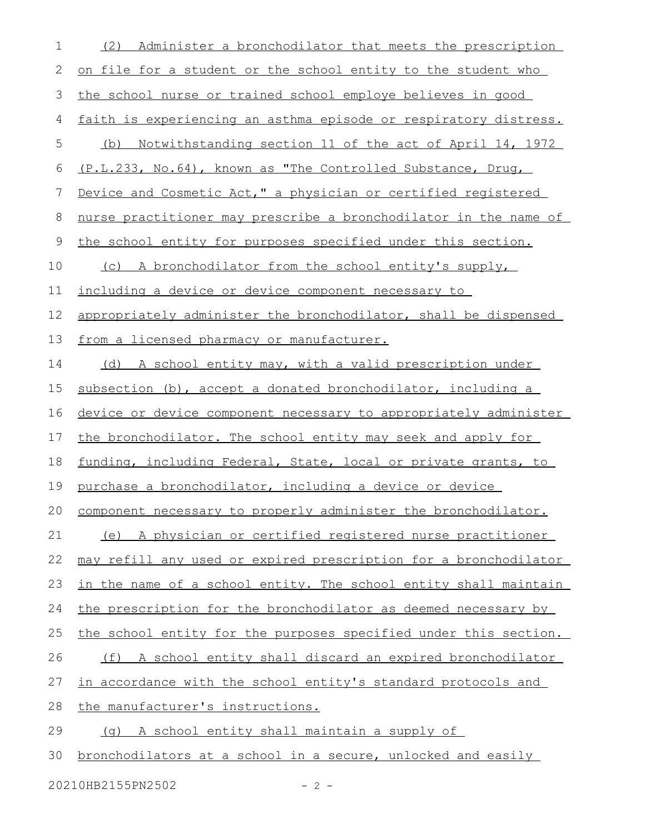| 1           | Administer a bronchodilator that meets the prescription<br>(2)   |
|-------------|------------------------------------------------------------------|
| 2           | on file for a student or the school entity to the student who    |
| 3           | the school nurse or trained school employe believes in good      |
| 4           | faith is experiencing an asthma episode or respiratory distress. |
| 5           | (b) Notwithstanding section 11 of the act of April 14, 1972      |
| 6           | (P.L.233, No.64), known as "The Controlled Substance, Drug,      |
| 7           | Device and Cosmetic Act," a physician or certified registered    |
| 8           | nurse practitioner may prescribe a bronchodilator in the name of |
| $\mathsf 9$ | the school entity for purposes specified under this section.     |
| 10          | (c) A bronchodilator from the school entity's supply,            |
| 11          | including a device or device component necessary to              |
| 12          | appropriately administer the bronchodilator, shall be dispensed  |
| 13          | from a licensed pharmacy or manufacturer.                        |
| 14          | (d) A school entity may, with a valid prescription under         |
| 15          | subsection (b), accept a donated bronchodilator, including a     |
| 16          | device or device component necessary to appropriately administer |
| 17          | the bronchodilator. The school entity may seek and apply for     |
| 18          | funding, including Federal, State, local or private grants, to   |
| 19          | purchase a bronchodilator, including a device or device          |
| 20          | component necessary to properly administer the bronchodilator.   |
| 21          | (e) A physician or certified registered nurse practitioner       |
| 22          | may refill any used or expired prescription for a bronchodilator |
| 23          | in the name of a school entity. The school entity shall maintain |
| 24          | the prescription for the bronchodilator as deemed necessary by   |
| 25          | the school entity for the purposes specified under this section. |
| 26          | (f) A school entity shall discard an expired bronchodilator      |
| 27          | in accordance with the school entity's standard protocols and    |
| 28          | the manufacturer's instructions.                                 |
| 29          | A school entity shall maintain a supply of<br>( က )              |
| 30          | bronchodilators at a school in a secure, unlocked and easily     |

20210HB2155PN2502 - 2 -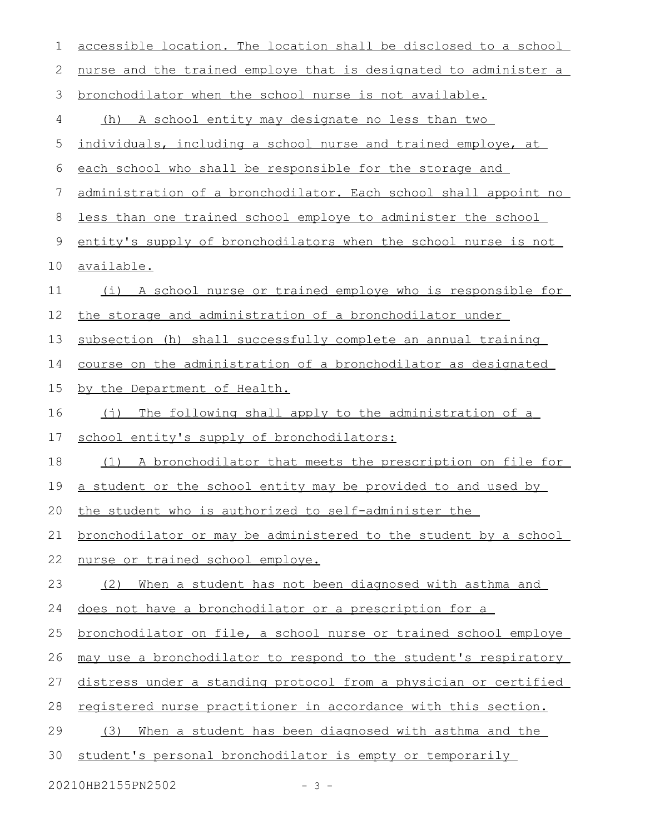| $\mathbf 1$                 | accessible location. The location shall be disclosed to a school    |  |
|-----------------------------|---------------------------------------------------------------------|--|
| 2                           | nurse and the trained employe that is designated to administer a    |  |
| 3                           | bronchodilator when the school nurse is not available.              |  |
| 4                           | (h) A school entity may designate no less than two                  |  |
| 5                           | individuals, including a school nurse and trained employe, at       |  |
| 6                           | each school who shall be responsible for the storage and            |  |
| 7                           | administration of a bronchodilator. Each school shall appoint no    |  |
| 8                           | less than one trained school employe to administer the school       |  |
| $\mathsf 9$                 | entity's supply of bronchodilators when the school nurse is not     |  |
| 10                          | available.                                                          |  |
| 11                          | (i) A school nurse or trained employe who is responsible for        |  |
| 12                          | the storage and administration of a bronchodilator under            |  |
| 13                          | subsection (h) shall successfully complete an annual training       |  |
| 14                          | course on the administration of a bronchodilator as designated      |  |
| 15                          | by the Department of Health.                                        |  |
| 16                          | The following shall apply to the administration of a<br>$(\dagger)$ |  |
| 17                          | school entity's supply of bronchodilators:                          |  |
| 18                          | (1) A bronchodilator that meets the prescription on file for        |  |
| 19                          | a student or the school entity may be provided to and used by       |  |
| 20                          | the student who is authorized to self-administer the                |  |
| 21                          | bronchodilator or may be administered to the student by a school    |  |
| 22                          | nurse or trained school employe.                                    |  |
| 23                          | When a student has not been diagnosed with asthma and<br>(2)        |  |
| 24                          | does not have a bronchodilator or a prescription for a              |  |
| 25                          | bronchodilator on file, a school nurse or trained school employe    |  |
| 26                          | may use a bronchodilator to respond to the student's respiratory    |  |
| 27                          | distress under a standing protocol from a physician or certified    |  |
| 28                          | registered nurse practitioner in accordance with this section.      |  |
| 29                          | When a student has been diagnosed with asthma and the<br>(3)        |  |
| 30                          | student's personal bronchodilator is empty or temporarily           |  |
| 20210HB2155PN2502<br>$-3 -$ |                                                                     |  |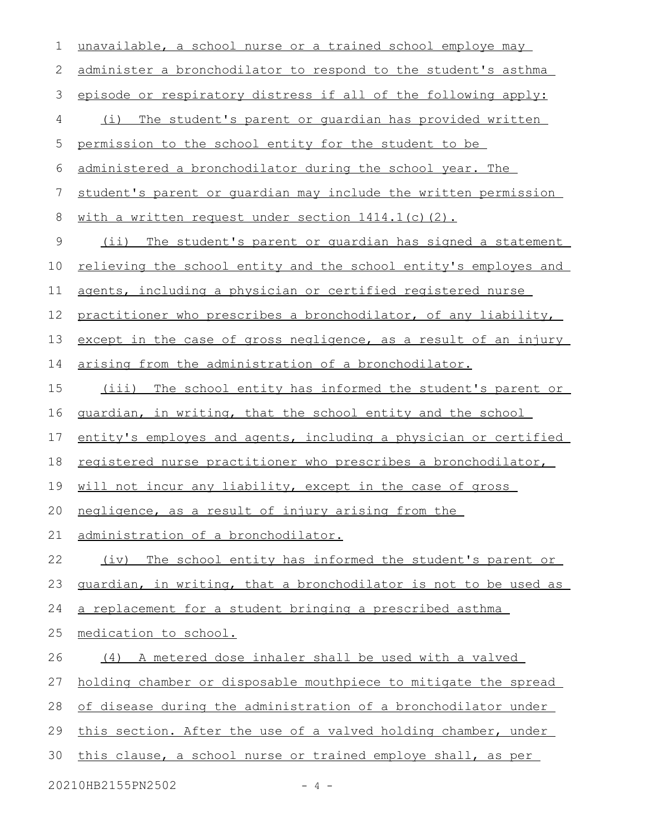| $\mathbf 1$ | unavailable, a school nurse or a trained school employe may      |
|-------------|------------------------------------------------------------------|
| 2           | administer a bronchodilator to respond to the student's asthma   |
| 3           | episode or respiratory distress if all of the following apply:   |
| 4           | (i) The student's parent or quardian has provided written        |
| 5           | permission to the school entity for the student to be            |
| 6           | administered a bronchodilator during the school year. The        |
| 7           | student's parent or quardian may include the written permission  |
| $\,8\,$     | with a written request under section 1414.1(c)(2).               |
| $\mathsf 9$ | (ii) The student's parent or quardian has signed a statement     |
| 10          | relieving the school entity and the school entity's employes and |
| 11          | agents, including a physician or certified registered nurse      |
| 12          | practitioner who prescribes a bronchodilator, of any liability,  |
| 13          | except in the case of gross negligence, as a result of an injury |
| 14          | arising from the administration of a bronchodilator.             |
| 15          | (iii) The school entity has informed the student's parent or     |
| 16          | guardian, in writing, that the school entity and the school      |
| 17          | entity's employes and agents, including a physician or certified |
| 18          | registered nurse practitioner who prescribes a bronchodilator,   |
| 19          | will not incur any liability, except in the case of gross        |
| 20          | negligence, as a result of injury arising from the               |
| 21          | administration of a bronchodilator.                              |
| 22          | The school entity has informed the student's parent or<br>(iv)   |
| 23          | guardian, in writing, that a bronchodilator is not to be used as |
| 24          | a replacement for a student bringing a prescribed asthma         |
| 25          | medication to school.                                            |
| 26          | (4) A metered dose inhaler shall be used with a valved           |
| 27          | holding chamber or disposable mouthpiece to mitigate the spread  |
| 28          | of disease during the administration of a bronchodilator under   |
| 29          | this section. After the use of a valved holding chamber, under   |
| 30          | this clause, a school nurse or trained employe shall, as per     |
|             |                                                                  |

20210HB2155PN2502 - 4 -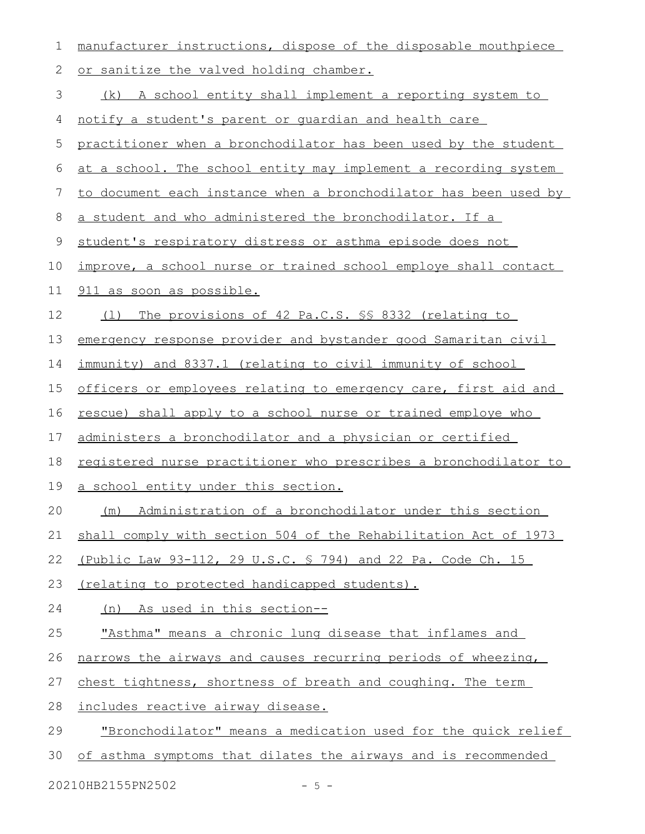| $\mathbf 1$ | manufacturer instructions, dispose of the disposable mouthpiece  |
|-------------|------------------------------------------------------------------|
| $\mathbf 2$ | or sanitize the valved holding chamber.                          |
| 3           | (k) A school entity shall implement a reporting system to        |
| 4           | notify a student's parent or quardian and health care            |
| 5           | practitioner when a bronchodilator has been used by the student  |
| 6           | at a school. The school entity may implement a recording system  |
| 7           | to document each instance when a bronchodilator has been used by |
| $\,8\,$     | a student and who administered the bronchodilator. If a          |
| $\mathsf 9$ | student's respiratory distress or asthma episode does not        |
| 10          | improve, a school nurse or trained school employe shall contact  |
| 11          | 911 as soon as possible.                                         |
| 12          | The provisions of 42 Pa.C.S. \$§ 8332 (relating to<br>( 1 )      |
| 13          | emergency response provider and bystander good Samaritan civil   |
| 14          | immunity) and 8337.1 (relating to civil immunity of school       |
| 15          | officers or employees relating to emergency care, first aid and  |
| 16          | rescue) shall apply to a school nurse or trained employe who     |
| 17          | administers a bronchodilator and a physician or certified        |
| 18          | registered nurse practitioner who prescribes a bronchodilator to |
| 19          | a school entity under this section.                              |
| 20          | Administration of a bronchodilator under this section<br>(m)     |
| 21          | shall comply with section 504 of the Rehabilitation Act of 1973  |
| 22          | (Public Law 93-112, 29 U.S.C. § 794) and 22 Pa. Code Ch. 15      |
| 23          | (relating to protected handicapped students).                    |
| 24          | (n) As used in this section--                                    |
| 25          | "Asthma" means a chronic lung disease that inflames and          |
| 26          | narrows the airways and causes recurring periods of wheezing,    |
| 27          | chest tightness, shortness of breath and coughing. The term      |
| 28          | includes reactive airway disease.                                |
| 29          | "Bronchodilator" means a medication used for the quick relief    |
| 30          | of asthma symptoms that dilates the airways and is recommended   |

20210HB2155PN2502 - 5 -